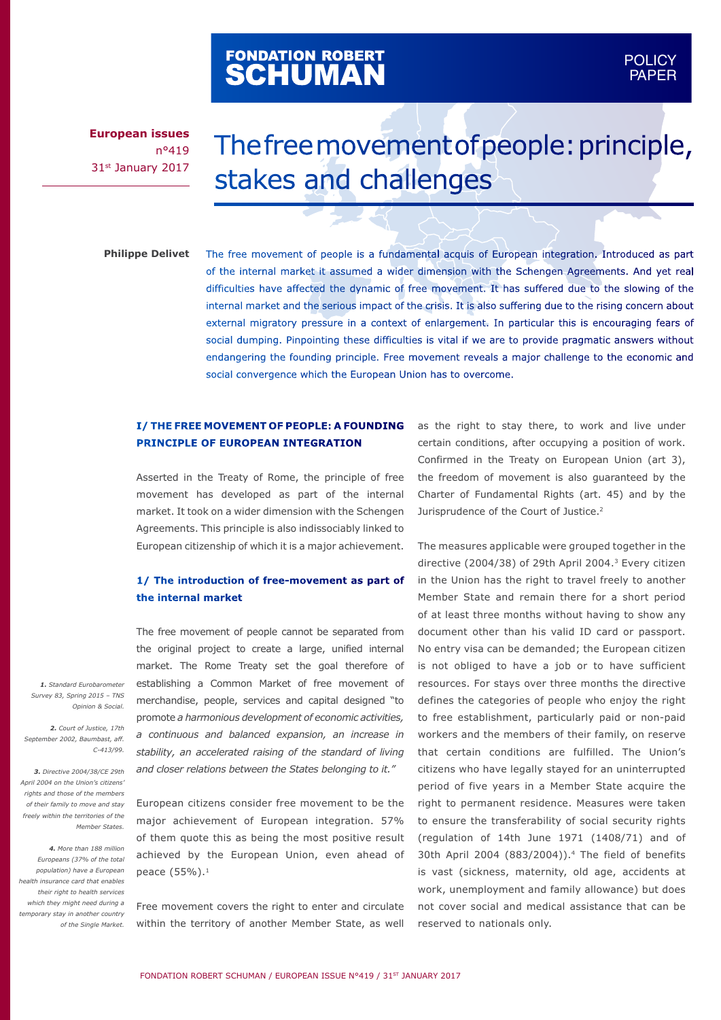# FONDATION ROBERT<br>**SCHUMAN**

# The free movement of people: principle, stakes and challenges

#### **Philippe Delivet**

The free movement of people is a fundamental acquis of European integration. Introduced as part of the internal market it assumed a wider dimension with the Schengen Agreements. And yet real difficulties have affected the dynamic of free movement. It has suffered due to the slowing of the internal market and the serious impact of the crisis. It is also suffering due to the rising concern about external migratory pressure in a context of enlargement. In particular this is encouraging fears of social dumping. Pinpointing these difficulties is vital if we are to provide pragmatic answers without endangering the founding principle. Free movement reveals a major challenge to the economic and social convergence which the European Union has to overcome.

# **I/ THE FREE MOVEMENT OF PEOPLE: A FOUNDING PRINCIPLE OF EUROPEAN INTEGRATION**

Asserted in the Treaty of Rome, the principle of free movement has developed as part of the internal market. It took on a wider dimension with the Schengen Agreements. This principle is also indissociably linked to European citizenship of which it is a major achievement.

#### **1/ The introduction of free-movement as part of the internal market**

The free movement of people cannot be separated from the original project to create a large, unified internal market. The Rome Treaty set the goal therefore of establishing a Common Market of free movement of merchandise, people, services and capital designed "to promote *a harmonious development of economic activities, a continuous and balanced expansion, an increase in stability, an accelerated raising of the standard of living and closer relations between the States belonging to it."*

European citizens consider free movement to be the major achievement of European integration. 57% of them quote this as being the most positive result achieved by the European Union, even ahead of peace (55%).<sup>1</sup>

Free movement covers the right to enter and circulate within the territory of another Member State, as well as the right to stay there, to work and live under certain conditions, after occupying a position of work. Confirmed in the Treaty on European Union (art 3), the freedom of movement is also guaranteed by the Charter of Fundamental Rights (art. 45) and by the Jurisprudence of the Court of Justice.<sup>2</sup>

POLICY POLICY PAPER PAPER

The measures applicable were grouped together in the directive (2004/38) of 29th April 2004.3 Every citizen in the Union has the right to travel freely to another Member State and remain there for a short period of at least three months without having to show any document other than his valid ID card or passport. No entry visa can be demanded; the European citizen is not obliged to have a job or to have sufficient resources. For stays over three months the directive defines the categories of people who enjoy the right to free establishment, particularly paid or non-paid workers and the members of their family, on reserve that certain conditions are fulfilled. The Union's citizens who have legally stayed for an uninterrupted period of five years in a Member State acquire the right to permanent residence. Measures were taken to ensure the transferability of social security rights (regulation of 14th June 1971 (1408/71) and of 30th April 2004 (883/2004)).<sup>4</sup> The field of benefits is vast (sickness, maternity, old age, accidents at work, unemployment and family allowance) but does not cover social and medical assistance that can be reserved to nationals only.

*1. Standard Eurobarometer Survey 83, Spring 2015 – TNS Opinion & Social.*

*2. Court of Justice, 17th September 2002, Baumbast, aff. C-413/99.*

*3. Directive 2004/38/CE 29th April 2004 on the Union's citizens' rights and those of the members of their family to move and stay freely within the territories of the Member States.*

*4. More than 188 million Europeans (37% of the total population) have a European health insurance card that enables their right to health services which they might need during a temporary stay in another country of the Single Market.*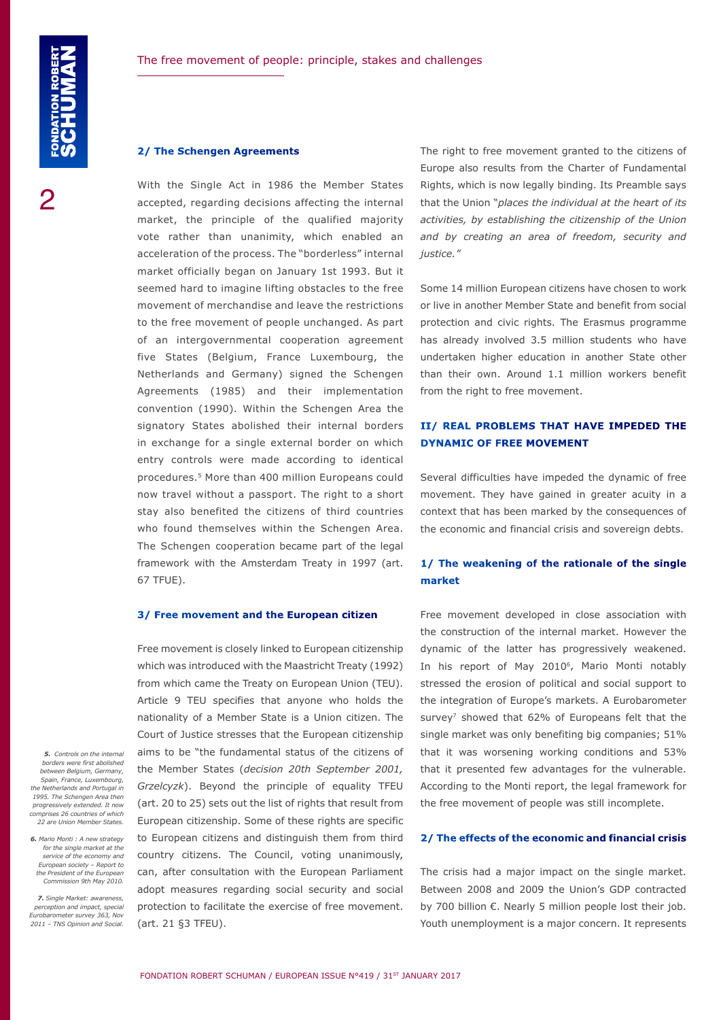#### **2/ The Schengen Agreements**

With the Single Act in 1986 the Member States accepted, regarding decisions affecting the internal market, the principle of the qualified majority vote rather than unanimity, which enabled an acceleration of the process. The "borderless" internal market officially began on January 1st 1993. But it seemed hard to imagine lifting obstacles to the free movement of merchandise and leave the restrictions to the free movement of people unchanged. As part of an intergovernmental cooperation agreement five States (Belgium, France Luxembourg, the Netherlands and Germany) signed the Schengen Agreements (1985) and their implementation convention (1990). Within the Schengen Area the signatory States abolished their internal borders in exchange for a single external border on which entry controls were made according to identical procedures.5 More than 400 million Europeans could now travel without a passport. The right to a short stay also benefited the citizens of third countries who found themselves within the Schengen Area. The Schengen cooperation became part of the legal framework with the Amsterdam Treaty in 1997 (art. 67 TFUE).

#### **3/ Free movement and the European citizen**

Free movement is closely linked to European citizenship which was introduced with the Maastricht Treaty (1992) from which came the Treaty on European Union (TEU). Article 9 TEU specifies that anyone who holds the nationality of a Member State is a Union citizen. The Court of Justice stresses that the European citizenship aims to be "the fundamental status of the citizens of the Member States (*decision 20th September 2001, Grzelcyzk*). Beyond the principle of equality TFEU (art. 20 to 25) sets out the list of rights that result from European citizenship. Some of these rights are specific to European citizens and distinguish them from third country citizens. The Council, voting unanimously, can, after consultation with the European Parliament adopt measures regarding social security and social protection to facilitate the exercise of free movement. (art. 21 §3 TFEU).

The right to free movement granted to the citizens of Europe also results from the Charter of Fundamental Rights, which is now legally binding. Its Preamble says that the Union "*places the individual at the heart of its activities, by establishing the citizenship of the Union and by creating an area of freedom, security and justice."*

Some 14 million European citizens have chosen to work or live in another Member State and benefit from social protection and civic rights. The Erasmus programme has already involved 3.5 million students who have undertaken higher education in another State other than their own. Around 1.1 million workers benefit from the right to free movement.

# **II/ REAL PROBLEMS THAT HAVE IMPEDED THE DYNAMIC OF FREE MOVEMENT**

Several difficulties have impeded the dynamic of free movement. They have gained in greater acuity in a context that has been marked by the consequences of the economic and financial crisis and sovereign debts.

# **1/ The weakening of the rationale of the single market**

Free movement developed in close association with the construction of the internal market. However the dynamic of the latter has progressively weakened. In his report of May 2010<sup>6</sup>, Mario Monti notably stressed the erosion of political and social support to the integration of Europe's markets. A Eurobarometer survey<sup>7</sup> showed that 62% of Europeans felt that the single market was only benefiting big companies; 51% that it was worsening working conditions and 53% that it presented few advantages for the vulnerable. According to the Monti report, the legal framework for the free movement of people was still incomplete.

#### **2/ The effects of the economic and financial crisis**

The crisis had a major impact on the single market. Between 2008 and 2009 the Union's GDP contracted by 700 billion €. Nearly 5 million people lost their job. Youth unemployment is a major concern. It represents

*5. Controls on the internal borders were first abolished between Belgium, Germany, Spain, France, Luxembourg, the Netherlands and Portugal in 1995. The Schengen Area then progressively extended. It now comprises 26 countries of which 22 are Union Member States.*

*6. Mario Monti : A new strategy for the single market at the service of the economy and European society – Report to*  the President of the Europ *Commission 9th May 2010.*

*7. Single Market: awareness, perception and impact, special Eurobarometer survey 363, Nov 2011 – TNS Opinion and Social.*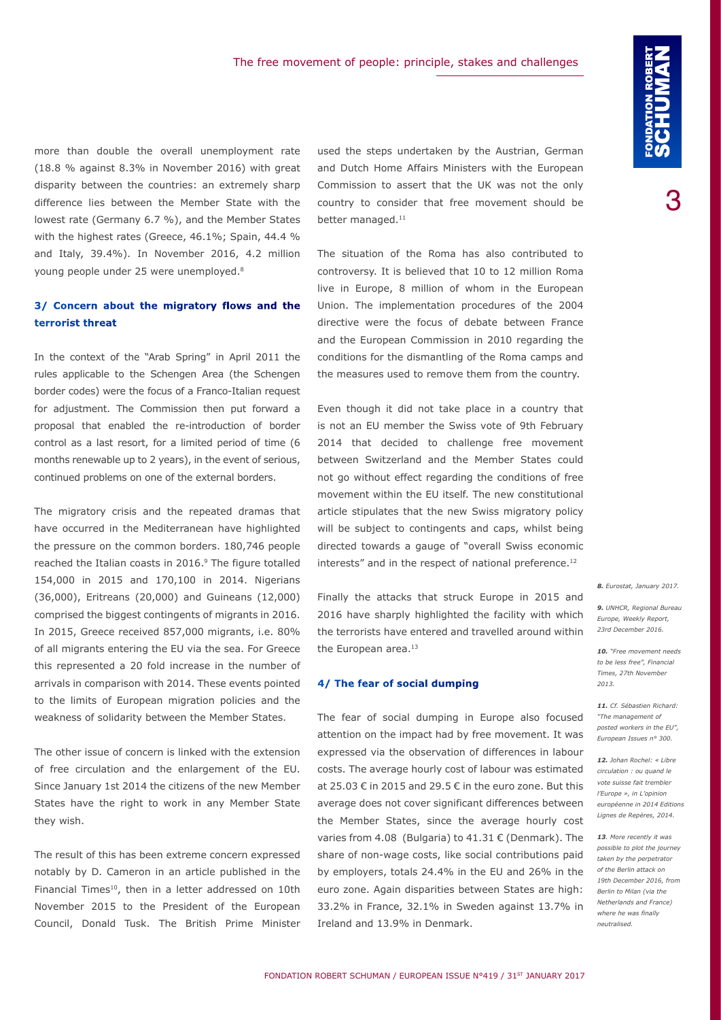more than double the overall unemployment rate (18.8 % against 8.3% in November 2016) with great disparity between the countries: an extremely sharp difference lies between the Member State with the lowest rate (Germany 6.7 %), and the Member States with the highest rates (Greece, 46.1%; Spain, 44.4 % and Italy, 39.4%). In November 2016, 4.2 million young people under 25 were unemployed.8

# **3/ Concern about the migratory flows and the terrorist threat**

In the context of the "Arab Spring" in April 2011 the rules applicable to the Schengen Area (the Schengen border codes) were the focus of a Franco-Italian request for adjustment. The Commission then put forward a proposal that enabled the re-introduction of border control as a last resort, for a limited period of time (6 months renewable up to 2 years), in the event of serious, continued problems on one of the external borders.

The migratory crisis and the repeated dramas that have occurred in the Mediterranean have highlighted the pressure on the common borders. 180,746 people reached the Italian coasts in 2016.<sup>9</sup> The figure totalled 154,000 in 2015 and 170,100 in 2014. Nigerians (36,000), Eritreans (20,000) and Guineans (12,000) comprised the biggest contingents of migrants in 2016. In 2015, Greece received 857,000 migrants, i.e. 80% of all migrants entering the EU via the sea. For Greece this represented a 20 fold increase in the number of arrivals in comparison with 2014. These events pointed to the limits of European migration policies and the weakness of solidarity between the Member States.

The other issue of concern is linked with the extension of free circulation and the enlargement of the EU. Since January 1st 2014 the citizens of the new Member States have the right to work in any Member State they wish.

The result of this has been extreme concern expressed notably by D. Cameron in an article published in the Financial Times<sup>10</sup>, then in a letter addressed on 10th November 2015 to the President of the European Council, Donald Tusk. The British Prime Minister used the steps undertaken by the Austrian, German and Dutch Home Affairs Ministers with the European Commission to assert that the UK was not the only country to consider that free movement should be better managed.<sup>11</sup>

The situation of the Roma has also contributed to controversy. It is believed that 10 to 12 million Roma live in Europe, 8 million of whom in the European Union. The implementation procedures of the 2004 directive were the focus of debate between France and the European Commission in 2010 regarding the conditions for the dismantling of the Roma camps and the measures used to remove them from the country.

Even though it did not take place in a country that is not an EU member the Swiss vote of 9th February 2014 that decided to challenge free movement between Switzerland and the Member States could not go without effect regarding the conditions of free movement within the EU itself. The new constitutional article stipulates that the new Swiss migratory policy will be subject to contingents and caps, whilst being directed towards a gauge of "overall Swiss economic interests" and in the respect of national preference.<sup>12</sup>

Finally the attacks that struck Europe in 2015 and 2016 have sharply highlighted the facility with which the terrorists have entered and travelled around within the European area.<sup>13</sup>

#### **4/ The fear of social dumping**

The fear of social dumping in Europe also focused attention on the impact had by free movement. It was expressed via the observation of differences in labour costs. The average hourly cost of labour was estimated at 25.03 € in 2015 and 29.5 € in the euro zone. But this average does not cover significant differences between the Member States, since the average hourly cost varies from 4.08 (Bulgaria) to 41.31 € (Denmark). The share of non-wage costs, like social contributions paid by employers, totals 24.4% in the EU and 26% in the euro zone. Again disparities between States are high: 33.2% in France, 32.1% in Sweden against 13.7% in Ireland and 13.9% in Denmark.

*8. Eurostat, January 2017.*

*9. UNHCR, Regional Bureau Europe, Weekly Report, 23rd December 2016.* 

*10. "Free movement needs to be less free", Financial Times, 27th November 2013.*

*11. Cf. Sébastien Richard: "[The management of](http://www.robert-schuman.eu/fr/questions-d-europe/0300-l-encadrement-du-detachement-des-travailleurs-au-sein-de-l-union-europeenne)  [posted workers in the EU](http://www.robert-schuman.eu/fr/questions-d-europe/0300-l-encadrement-du-detachement-des-travailleurs-au-sein-de-l-union-europeenne)", European Issues n° 300.*

*12. Johan Rochel: « Libre circulation : ou quand le vote suisse fait trembler l'Europe », in L'opinion européenne in 2014 Editions Lignes de Repères, 2014.*

*13. More recently it was possible to plot the journey taken by the perpetrator of the Berlin attack on 19th December 2016, from Berlin to Milan (via the Netherlands and France) where he was finally neutralised.*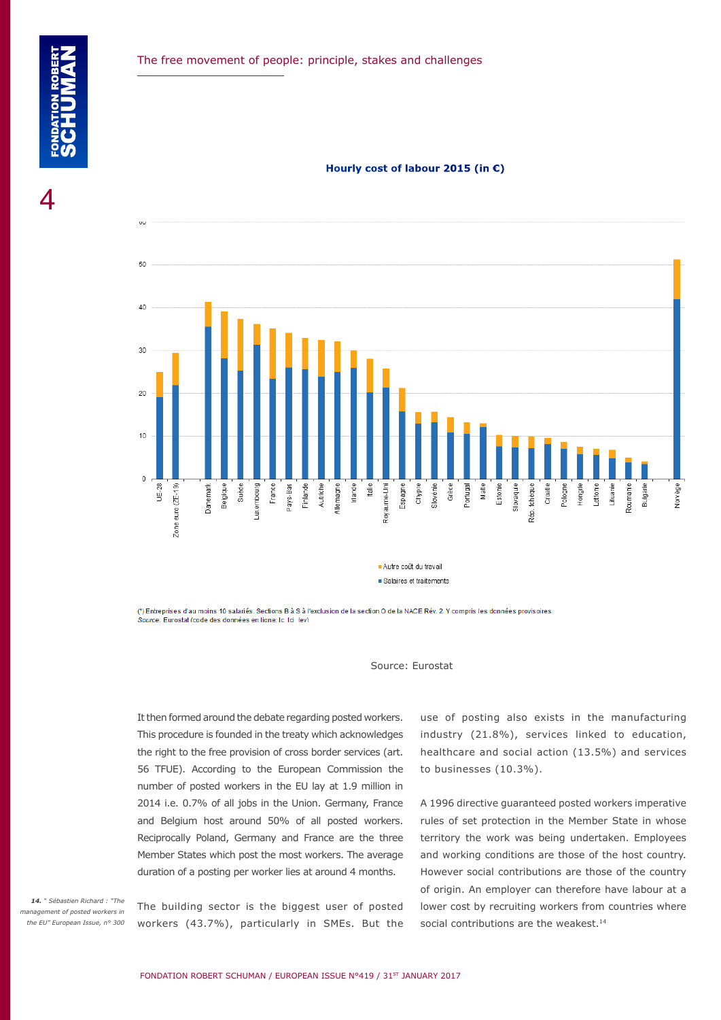**Hourly cost of labour 2015 (in €)**



(\*) Entreprises d'au moins 10 salariés. Sections B à S à l'exclusion de la section O de la NACE Rév. 2. Y compris les données provisoires. Source: Eurostat (code des données en ligne: Ic. Ici, Iev)



It then formed around the debate regarding posted workers. This procedure is founded in the treaty which acknowledges the right to the free provision of cross border services (art. 56 TFUE). According to the European Commission the number of posted workers in the EU lay at 1.9 million in 2014 i.e. 0.7% of all jobs in the Union. Germany, France and Belgium host around 50% of all posted workers. Reciprocally Poland, Germany and France are the three Member States which post the most workers. The average duration of a posting per worker lies at around 4 months.

*14. " Sébastien Richard : "[The](http://www.robert-schuman.eu/en/doc/questions-d-europe/qe-406-en.pdf)  [management of posted workers in](http://www.robert-schuman.eu/en/doc/questions-d-europe/qe-406-en.pdf)  [the EU"](http://www.robert-schuman.eu/en/doc/questions-d-europe/qe-406-en.pdf) European Issue, n° 300*

The building sector is the biggest user of posted workers (43.7%), particularly in SMEs. But the use of posting also exists in the manufacturing industry (21.8%), services linked to education, healthcare and social action (13.5%) and services to businesses (10.3%).

A 1996 directive guaranteed posted workers imperative rules of set protection in the Member State in whose territory the work was being undertaken. Employees and working conditions are those of the host country. However social contributions are those of the country of origin. An employer can therefore have labour at a lower cost by recruiting workers from countries where social contributions are the weakest.<sup>14</sup>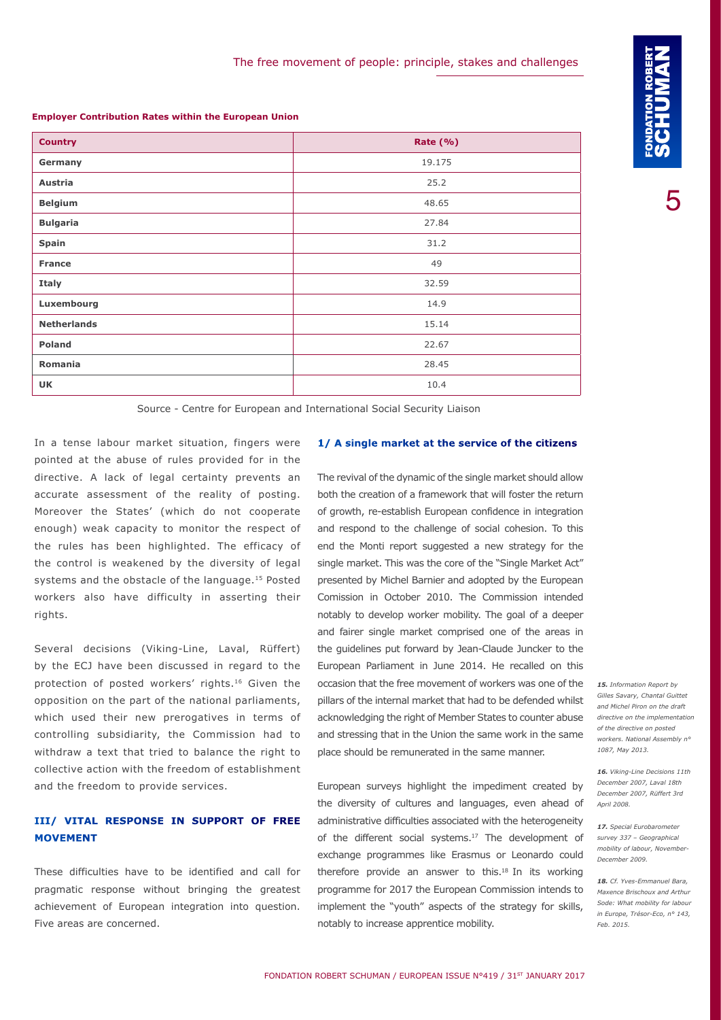**Employer Contribution Rates within the European Union**

| <b>Country</b>     | Rate $(\% )$ |
|--------------------|--------------|
| Germany            | 19.175       |
| Austria            | 25.2         |
| <b>Belgium</b>     | 48.65        |
| <b>Bulgaria</b>    | 27.84        |
| Spain              | 31.2         |
| <b>France</b>      | 49           |
| <b>Italy</b>       | 32.59        |
| Luxembourg         | 14.9         |
| <b>Netherlands</b> | 15.14        |
| <b>Poland</b>      | 22.67        |
| Romania            | 28.45        |
| <b>UK</b>          | 10.4         |

Source - Centre for European and International Social Security Liaison

In a tense labour market situation, fingers were pointed at the abuse of rules provided for in the directive. A lack of legal certainty prevents an accurate assessment of the reality of posting. Moreover the States' (which do not cooperate enough) weak capacity to monitor the respect of the rules has been highlighted. The efficacy of the control is weakened by the diversity of legal systems and the obstacle of the language.<sup>15</sup> Posted workers also have difficulty in asserting their rights.

Several decisions (Viking-Line, Laval, Rüffert) by the ECJ have been discussed in regard to the protection of posted workers' rights.16 Given the opposition on the part of the national parliaments, which used their new prerogatives in terms of controlling subsidiarity, the Commission had to withdraw a text that tried to balance the right to collective action with the freedom of establishment and the freedom to provide services.

# **III/ VITAL RESPONSE IN SUPPORT OF FREE MOVEMENT**

These difficulties have to be identified and call for pragmatic response without bringing the greatest achievement of European integration into question. Five areas are concerned.

## **1/ A single market at the service of the citizens**

The revival of the dynamic of the single market should allow both the creation of a framework that will foster the return of growth, re-establish European confidence in integration and respond to the challenge of social cohesion. To this end the Monti report suggested a new strategy for the single market. This was the core of the "Single Market Act" presented by Michel Barnier and adopted by the European Comission in October 2010. The Commission intended notably to develop worker mobility. The goal of a deeper and fairer single market comprised one of the areas in the guidelines put forward by Jean-Claude Juncker to the European Parliament in June 2014. He recalled on this occasion that the free movement of workers was one of the pillars of the internal market that had to be defended whilst acknowledging the right of Member States to counter abuse and stressing that in the Union the same work in the same place should be remunerated in the same manner.

European surveys highlight the impediment created by the diversity of cultures and languages, even ahead of administrative difficulties associated with the heterogeneity of the different social systems.<sup>17</sup> The development of exchange programmes like Erasmus or Leonardo could therefore provide an answer to this.<sup>18</sup> In its working programme for 2017 the European Commission intends to implement the "youth" aspects of the strategy for skills, notably to increase apprentice mobility.

*15. Information Report by Gilles Savary, Chantal Guittet and Michel Piron on the draft directive on the implementation of the directive on posted workers. National Assembly n° 1087, May 2013.*

*16. Viking-Line Decisions 11th December 2007, Laval 18th December 2007, Rüffert 3rd April 2008.*

*17. Special Eurobarometer survey 337 – Geographical mobility of labour, November-December 2009.*

*18. Cf. Yves-Emmanuel Bara, Maxence Brischoux and Arthur Sode: What mobility for labour in Europe, Trésor-Eco, n° 143, Feb. 2015.*

5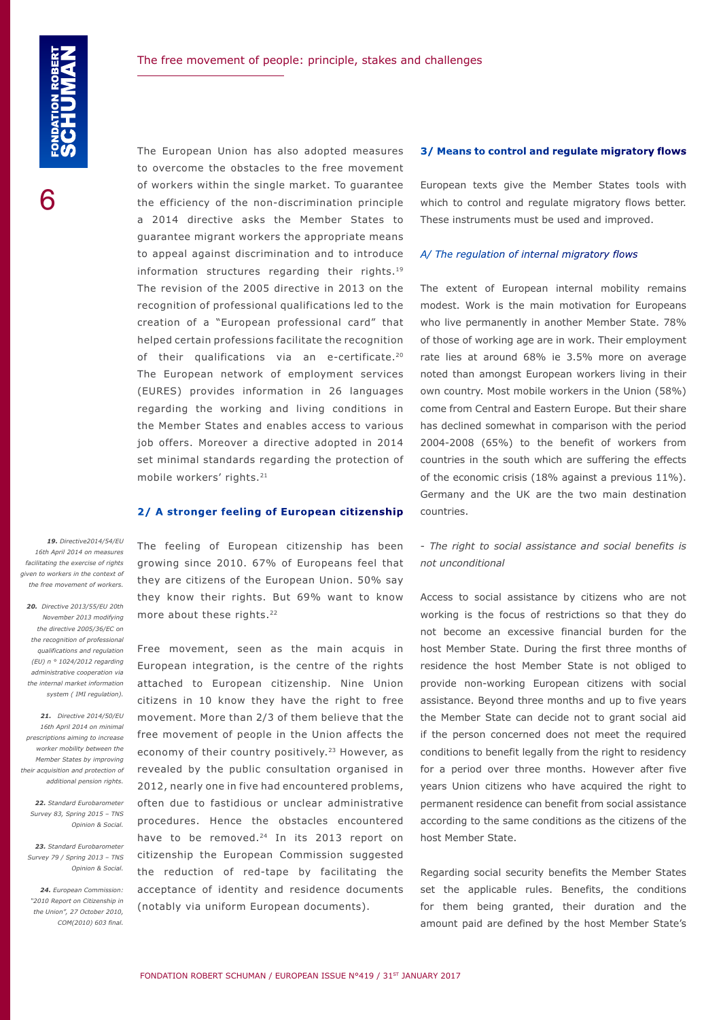The European Union has also adopted measures to overcome the obstacles to the free movement of workers within the single market. To guarantee the efficiency of the non-discrimination principle a 2014 directive asks the Member States to guarantee migrant workers the appropriate means to appeal against discrimination and to introduce information structures regarding their rights.19 The revision of the 2005 directive in 2013 on the recognition of professional qualifications led to the creation of a "European professional card" that helped certain professions facilitate the recognition of their qualifications via an e-certificate.<sup>20</sup> The European network of employment services (EURES) provides information in 26 languages regarding the working and living conditions in the Member States and enables access to various job offers. Moreover a directive adopted in 2014 set minimal standards regarding the protection of mobile workers' rights.21

# **2/ A stronger feeling of European citizenship**

The feeling of European citizenship has been growing since 2010. 67% of Europeans feel that they are citizens of the European Union. 50% say they know their rights. But 69% want to know more about these rights.<sup>22</sup>

Free movement, seen as the main acquis in European integration, is the centre of the rights attached to European citizenship. Nine Union citizens in 10 know they have the right to free movement. More than 2/3 of them believe that the free movement of people in the Union affects the economy of their country positively.<sup>23</sup> However, as revealed by the public consultation organised in 2012, nearly one in five had encountered problems, often due to fastidious or unclear administrative procedures. Hence the obstacles encountered have to be removed.<sup>24</sup> In its 2013 report on citizenship the European Commission suggested the reduction of red-tape by facilitating the acceptance of identity and residence documents (notably via uniform European documents).

#### **3/ Means to control and regulate migratory flows**

European texts give the Member States tools with which to control and regulate migratory flows better. These instruments must be used and improved.

#### *A/ The regulation of internal migratory flows*

The extent of European internal mobility remains modest. Work is the main motivation for Europeans who live permanently in another Member State. 78% of those of working age are in work. Their employment rate lies at around 68% ie 3.5% more on average noted than amongst European workers living in their own country. Most mobile workers in the Union (58%) come from Central and Eastern Europe. But their share has declined somewhat in comparison with the period 2004-2008 (65%) to the benefit of workers from countries in the south which are suffering the effects of the economic crisis (18% against a previous 11%). Germany and the UK are the two main destination countries.

# - *The right to social assistance and social benefits is not unconditional*

Access to social assistance by citizens who are not working is the focus of restrictions so that they do not become an excessive financial burden for the host Member State. During the first three months of residence the host Member State is not obliged to provide non-working European citizens with social assistance. Beyond three months and up to five years the Member State can decide not to grant social aid if the person concerned does not meet the required conditions to benefit legally from the right to residency for a period over three months. However after five years Union citizens who have acquired the right to permanent residence can benefit from social assistance according to the same conditions as the citizens of the host Member State.

Regarding social security benefits the Member States set the applicable rules. Benefits, the conditions for them being granted, their duration and the amount paid are defined by the host Member State's

*19. Directive2014/54/EU 16th April 2014 on measures facilitating the exercise of rights given to workers in the context of the free movement of workers.*

*20. Directive 2013/55/EU 20th November 2013 modifying the directive 2005/36/EC on the recognition of professional qualifications and regulation (EU) n ° 1024/2012 regarding administrative cooperation via the internal market information system ( IMI regulation).*

*21. Directive 2014/50/EU 16th April 2014 on minimal prescriptions aiming to increase worker mobility between the Member States by improving their acquisition and protection of additional pension rights.*

*22. Standard Eurobarometer Survey 83, Spring 2015 – TNS Opinion & Social.*

*23. Standard Eurobarometer Survey 79 / Spring 2013 – TNS Opinion & Social.*

*24. European Commission: "2010 Report on Citizenship in the Union", 27 October 2010, COM(2010) 603 final.*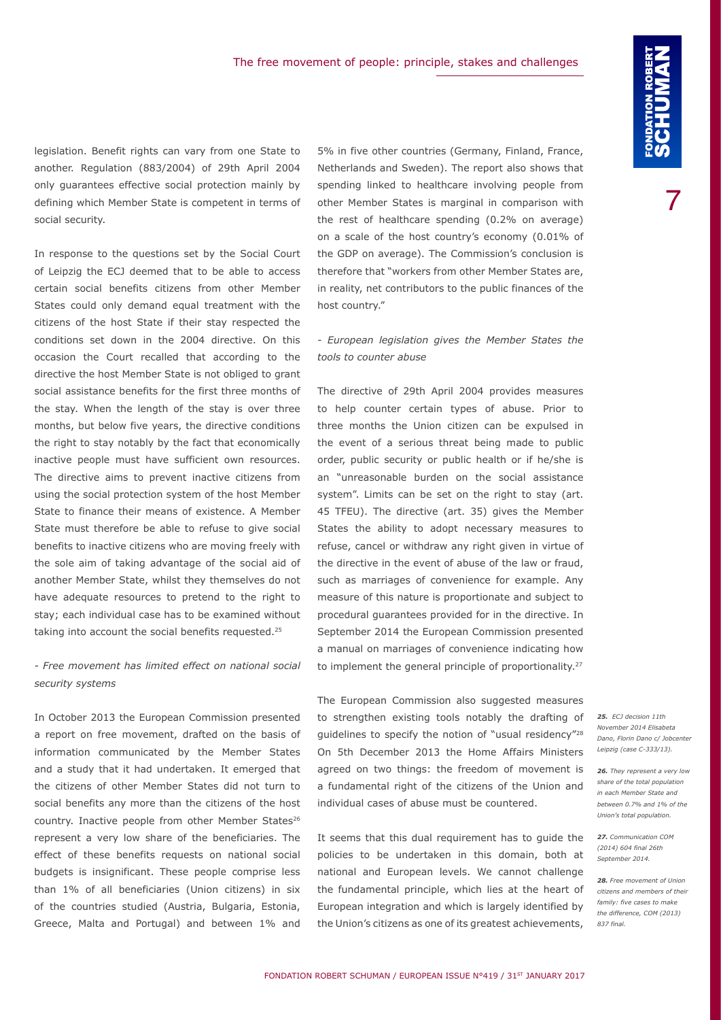legislation. Benefit rights can vary from one State to another. Regulation (883/2004) of 29th April 2004 only guarantees effective social protection mainly by defining which Member State is competent in terms of social security.

In response to the questions set by the Social Court of Leipzig the ECJ deemed that to be able to access certain social benefits citizens from other Member States could only demand equal treatment with the citizens of the host State if their stay respected the conditions set down in the 2004 directive. On this occasion the Court recalled that according to the directive the host Member State is not obliged to grant social assistance benefits for the first three months of the stay. When the length of the stay is over three months, but below five years, the directive conditions the right to stay notably by the fact that economically inactive people must have sufficient own resources. The directive aims to prevent inactive citizens from using the social protection system of the host Member State to finance their means of existence. A Member State must therefore be able to refuse to give social benefits to inactive citizens who are moving freely with the sole aim of taking advantage of the social aid of another Member State, whilst they themselves do not have adequate resources to pretend to the right to stay; each individual case has to be examined without taking into account the social benefits requested.25

*- Free movement has limited effect on national social security systems*

In October 2013 the European Commission presented a report on free movement, drafted on the basis of information communicated by the Member States and a study that it had undertaken. It emerged that the citizens of other Member States did not turn to social benefits any more than the citizens of the host country. Inactive people from other Member States<sup>26</sup> represent a very low share of the beneficiaries. The effect of these benefits requests on national social budgets is insignificant. These people comprise less than 1% of all beneficiaries (Union citizens) in six of the countries studied (Austria, Bulgaria, Estonia, Greece, Malta and Portugal) and between 1% and

5% in five other countries (Germany, Finland, France, Netherlands and Sweden). The report also shows that spending linked to healthcare involving people from other Member States is marginal in comparison with the rest of healthcare spending (0.2% on average) on a scale of the host country's economy (0.01% of the GDP on average). The Commission's conclusion is therefore that "workers from other Member States are, in reality, net contributors to the public finances of the host country."

## *- European legislation gives the Member States the tools to counter abuse*

The directive of 29th April 2004 provides measures to help counter certain types of abuse. Prior to three months the Union citizen can be expulsed in the event of a serious threat being made to public order, public security or public health or if he/she is an "unreasonable burden on the social assistance system". Limits can be set on the right to stay (art. 45 TFEU). The directive (art. 35) gives the Member States the ability to adopt necessary measures to refuse, cancel or withdraw any right given in virtue of the directive in the event of abuse of the law or fraud, such as marriages of convenience for example. Any measure of this nature is proportionate and subject to procedural guarantees provided for in the directive. In September 2014 the European Commission presented a manual on marriages of convenience indicating how to implement the general principle of proportionality.<sup>27</sup>

The European Commission also suggested measures to strengthen existing tools notably the drafting of guidelines to specify the notion of "usual residency"28 On 5th December 2013 the Home Affairs Ministers agreed on two things: the freedom of movement is a fundamental right of the citizens of the Union and individual cases of abuse must be countered.

It seems that this dual requirement has to guide the policies to be undertaken in this domain, both at national and European levels. We cannot challenge the fundamental principle, which lies at the heart of European integration and which is largely identified by the Union's citizens as one of its greatest achievements,

*25. ECJ decision 11th November 2014 Elisabeta Dano, Florin Dano c/ Jobcenter Leipzig (case C-333/13).*

*26. They represent a very low share of the total population in each Member State and between 0.7% and 1% of the Union's total population.*

*27. Communication COM (2014) 604 final 26th September 2014.*

*28. Free movement of Union citizens and members of their family: five cases to make the difference, COM (2013) 837 final.*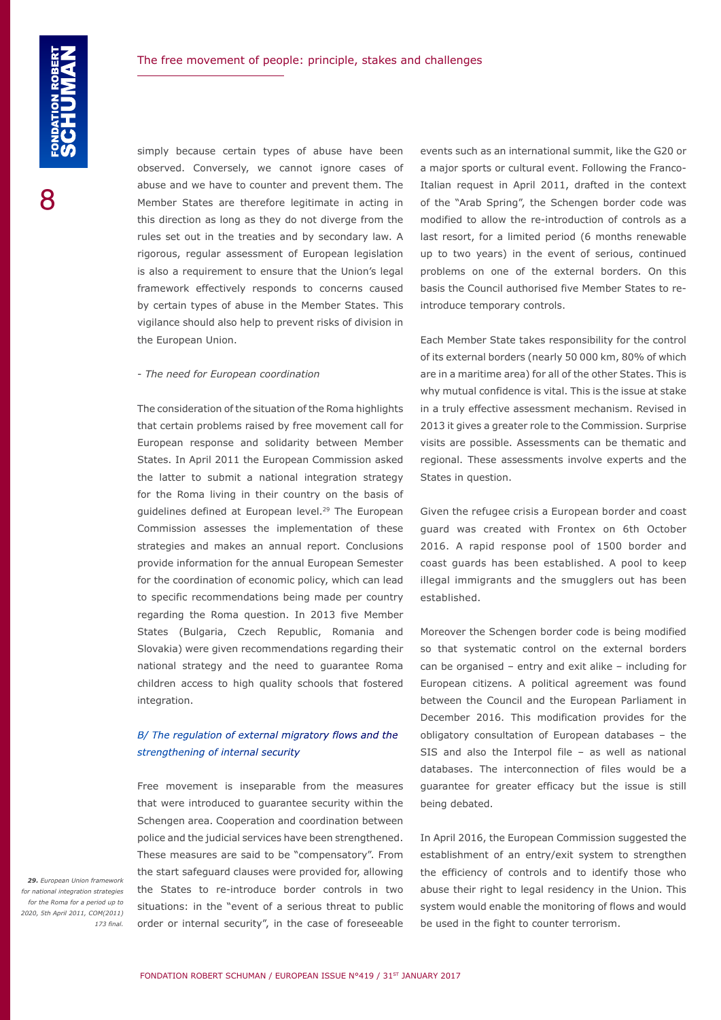simply because certain types of abuse have been observed. Conversely, we cannot ignore cases of abuse and we have to counter and prevent them. The Member States are therefore legitimate in acting in this direction as long as they do not diverge from the rules set out in the treaties and by secondary law. A rigorous, regular assessment of European legislation is also a requirement to ensure that the Union's legal framework effectively responds to concerns caused by certain types of abuse in the Member States. This vigilance should also help to prevent risks of division in the European Union.

#### - *The need for European coordination*

The consideration of the situation of the Roma highlights that certain problems raised by free movement call for European response and solidarity between Member States. In April 2011 the European Commission asked the latter to submit a national integration strategy for the Roma living in their country on the basis of guidelines defined at European level.<sup>29</sup> The European Commission assesses the implementation of these strategies and makes an annual report. Conclusions provide information for the annual European Semester for the coordination of economic policy, which can lead to specific recommendations being made per country regarding the Roma question. In 2013 five Member States (Bulgaria, Czech Republic, Romania and Slovakia) were given recommendations regarding their national strategy and the need to guarantee Roma children access to high quality schools that fostered integration.

# *B/ The regulation of external migratory flows and the strengthening of internal security*

Free movement is inseparable from the measures that were introduced to guarantee security within the Schengen area. Cooperation and coordination between police and the judicial services have been strengthened. These measures are said to be "compensatory". From the start safeguard clauses were provided for, allowing the States to re-introduce border controls in two situations: in the "event of a serious threat to public order or internal security", in the case of foreseeable

events such as an international summit, like the G20 or a major sports or cultural event. Following the Franco-Italian request in April 2011, drafted in the context of the "Arab Spring", the Schengen border code was modified to allow the re-introduction of controls as a last resort, for a limited period (6 months renewable up to two years) in the event of serious, continued problems on one of the external borders. On this basis the Council authorised five Member States to reintroduce temporary controls.

Each Member State takes responsibility for the control of its external borders (nearly 50 000 km, 80% of which are in a maritime area) for all of the other States. This is why mutual confidence is vital. This is the issue at stake in a truly effective assessment mechanism. Revised in 2013 it gives a greater role to the Commission. Surprise visits are possible. Assessments can be thematic and regional. These assessments involve experts and the States in question.

Given the refugee crisis a European border and coast guard was created with Frontex on 6th October 2016. A rapid response pool of 1500 border and coast guards has been established. A pool to keep illegal immigrants and the smugglers out has been established.

Moreover the Schengen border code is being modified so that systematic control on the external borders can be organised – entry and exit alike – including for European citizens. A political agreement was found between the Council and the European Parliament in December 2016. This modification provides for the obligatory consultation of European databases – the SIS and also the Interpol file – as well as national databases. The interconnection of files would be a guarantee for greater efficacy but the issue is still being debated.

In April 2016, the European Commission suggested the establishment of an entry/exit system to strengthen the efficiency of controls and to identify those who abuse their right to legal residency in the Union. This system would enable the monitoring of flows and would be used in the fight to counter terrorism.

*29. European Union framework for national integration strategies for the Roma for a period up to 2020, 5th April 2011, COM(2011) 173 final.*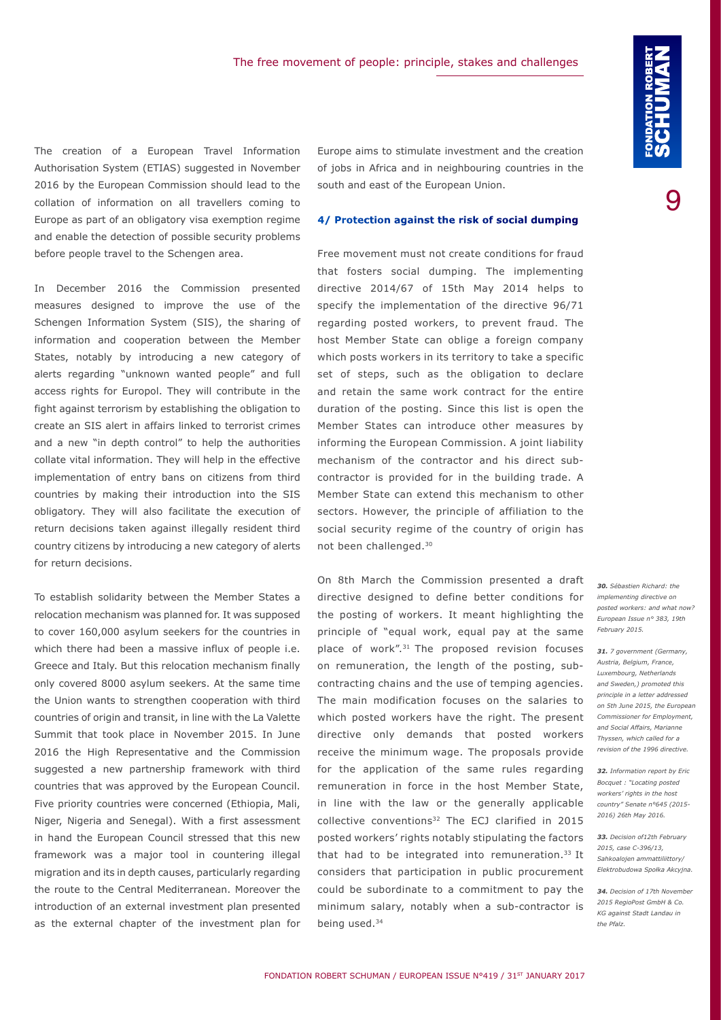The creation of a European Travel Information Authorisation System (ETIAS) suggested in November 2016 by the European Commission should lead to the collation of information on all travellers coming to Europe as part of an obligatory visa exemption regime and enable the detection of possible security problems before people travel to the Schengen area.

In December 2016 the Commission presented measures designed to improve the use of the Schengen Information System (SIS), the sharing of information and cooperation between the Member States, notably by introducing a new category of alerts regarding "unknown wanted people" and full access rights for Europol. They will contribute in the fight against terrorism by establishing the obligation to create an SIS alert in affairs linked to terrorist crimes and a new "in depth control" to help the authorities collate vital information. They will help in the effective implementation of entry bans on citizens from third countries by making their introduction into the SIS obligatory. They will also facilitate the execution of return decisions taken against illegally resident third country citizens by introducing a new category of alerts for return decisions.

To establish solidarity between the Member States a relocation mechanism was planned for. It was supposed to cover 160,000 asylum seekers for the countries in which there had been a massive influx of people i.e. Greece and Italy. But this relocation mechanism finally only covered 8000 asylum seekers. At the same time the Union wants to strengthen cooperation with third countries of origin and transit, in line with the La Valette Summit that took place in November 2015. In June 2016 the High Representative and the Commission suggested a new partnership framework with third countries that was approved by the European Council. Five priority countries were concerned (Ethiopia, Mali, Niger, Nigeria and Senegal). With a first assessment in hand the European Council stressed that this new framework was a major tool in countering illegal migration and its in depth causes, particularly regarding the route to the Central Mediterranean. Moreover the introduction of an external investment plan presented as the external chapter of the investment plan for Europe aims to stimulate investment and the creation of jobs in Africa and in neighbouring countries in the south and east of the European Union.

#### **4/ Protection against the risk of social dumping**

Free movement must not create conditions for fraud that fosters social dumping. The implementing directive 2014/67 of 15th May 2014 helps to specify the implementation of the directive 96/71 regarding posted workers, to prevent fraud. The host Member State can oblige a foreign company which posts workers in its territory to take a specific set of steps, such as the obligation to declare and retain the same work contract for the entire duration of the posting. Since this list is open the Member States can introduce other measures by informing the European Commission. A joint liability mechanism of the contractor and his direct subcontractor is provided for in the building trade. A Member State can extend this mechanism to other sectors. However, the principle of affiliation to the social security regime of the country of origin has not been challenged.30

On 8th March the Commission presented a draft directive designed to define better conditions for the posting of workers. It meant highlighting the principle of "equal work, equal pay at the same place of work".31 The proposed revision focuses on remuneration, the length of the posting, subcontracting chains and the use of temping agencies. The main modification focuses on the salaries to which posted workers have the right. The present directive only demands that posted workers receive the minimum wage. The proposals provide for the application of the same rules regarding remuneration in force in the host Member State, in line with the law or the generally applicable collective conventions<sup>32</sup> The ECJ clarified in 2015 posted workers' rights notably stipulating the factors that had to be integrated into remuneration.<sup>33</sup> It considers that participation in public procurement could be subordinate to a commitment to pay the minimum salary, notably when a sub-contractor is being used.<sup>34</sup>

*30. Sébastien Richard: the implementing directive on posted workers: and what now? European Issue n° 383, 19th February 2015.*

*31. 7 government (Germany, Austria, Belgium, France, Luxembourg, Netherlands and Sweden,) promoted this principle in a letter addressed on 5th June 2015, the European Commissioner for Employment, and Social Affairs, Marianne Thyssen, which called for a revision of the 1996 directive.*

*32. Information report by Eric Bocquet : "Locating posted workers' rights in the host country" Senate n[°645](http://www.senat.fr/notice-rapport/2015/r15-645-notice.html) (2015- 2016) 26th May 2016.*

*33. Decision of12th February 2015, case C-396/13, Sahkoalojen ammattiliittory/ Elektrobudowa Społka Akcyjna.*

*34. Decision of 17th November 2015 RegioPost GmbH & Co. KG against Stadt Landau in the Pfalz.*